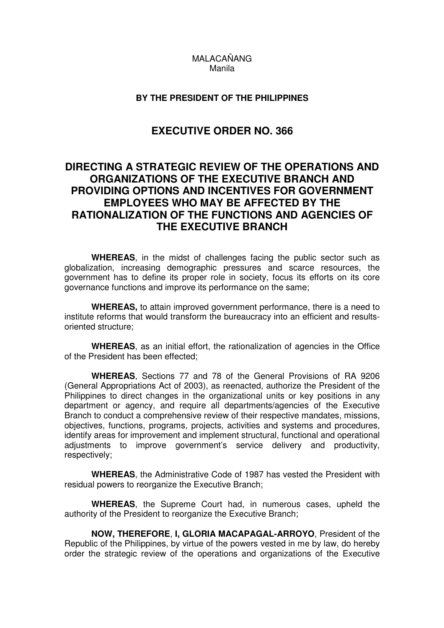# MALACAÑANG Manila

## **BY THE PRESIDENT OF THE PHILIPPINES**

# **EXECUTIVE ORDER NO. 366**

# **DIRECTING A STRATEGIC REVIEW OF THE OPERATIONS AND ORGANIZATIONS OF THE EXECUTIVE BRANCH AND PROVIDING OPTIONS AND INCENTIVES FOR GOVERNMENT EMPLOYEES WHO MAY BE AFFECTED BY THE RATIONALIZATION OF THE FUNCTIONS AND AGENCIES OF THE EXECUTIVE BRANCH**

 **WHEREAS**, in the midst of challenges facing the public sector such as globalization, increasing demographic pressures and scarce resources, the government has to define its proper role in society, focus its efforts on its core governance functions and improve its performance on the same;

 **WHEREAS,** to attain improved government performance, there is a need to institute reforms that would transform the bureaucracy into an efficient and resultsoriented structure;

 **WHEREAS**, as an initial effort, the rationalization of agencies in the Office of the President has been effected;

 **WHEREAS**, Sections 77 and 78 of the General Provisions of RA 9206 (General Appropriations Act of 2003), as reenacted, authorize the President of the Philippines to direct changes in the organizational units or key positions in any department or agency, and require all departments/agencies of the Executive Branch to conduct a comprehensive review of their respective mandates, missions, objectives, functions, programs, projects, activities and systems and procedures, identify areas for improvement and implement structural, functional and operational adjustments to improve government's service delivery and productivity, respectively;

 **WHEREAS**, the Administrative Code of 1987 has vested the President with residual powers to reorganize the Executive Branch;

 **WHEREAS**, the Supreme Court had, in numerous cases, upheld the authority of the President to reorganize the Executive Branch;

 **NOW, THEREFORE**, **I, GLORIA MACAPAGAL-ARROYO**, President of the Republic of the Philippines, by virtue of the powers vested in me by law, do hereby order the strategic review of the operations and organizations of the Executive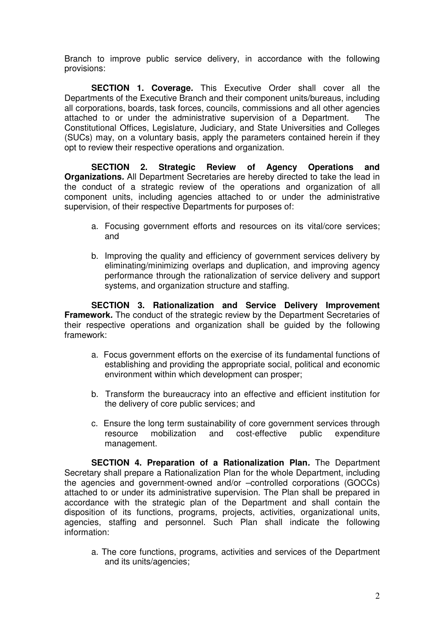Branch to improve public service delivery, in accordance with the following provisions:

 **SECTION 1. Coverage***.* This Executive Order shall cover all the Departments of the Executive Branch and their component units/bureaus, including all corporations, boards, task forces, councils, commissions and all other agencies attached to or under the administrative supervision of a Department. The Constitutional Offices, Legislature, Judiciary, and State Universities and Colleges (SUCs) may, on a voluntary basis, apply the parameters contained herein if they opt to review their respective operations and organization.

 **SECTION 2. Strategic Review of Agency Operations and Organizations***.* All Department Secretaries are hereby directed to take the lead in the conduct of a strategic review of the operations and organization of all component units, including agencies attached to or under the administrative supervision, of their respective Departments for purposes of:

- a. Focusing government efforts and resources on its vital/core services; and
- b. Improving the quality and efficiency of government services delivery by eliminating/minimizing overlaps and duplication, and improving agency performance through the rationalization of service delivery and support systems, and organization structure and staffing.

 **SECTION 3. Rationalization and Service Delivery Improvement Framework***.* The conduct of the strategic review by the Department Secretaries of their respective operations and organization shall be guided by the following framework:

- a. Focus government efforts on the exercise of its fundamental functions of establishing and providing the appropriate social, political and economic environment within which development can prosper;
- b. Transform the bureaucracy into an effective and efficient institution for the delivery of core public services; and
- c. Ensure the long term sustainability of core government services through resource mobilization and cost-effective public expenditure management.

 **SECTION 4. Preparation of a Rationalization Plan***.* The Department Secretary shall prepare a Rationalization Plan for the whole Department, including the agencies and government-owned and/or –controlled corporations (GOCCs) attached to or under its administrative supervision. The Plan shall be prepared in accordance with the strategic plan of the Department and shall contain the disposition of its functions, programs, projects, activities, organizational units, agencies, staffing and personnel. Such Plan shall indicate the following information:

a. The core functions, programs, activities and services of the Department and its units/agencies;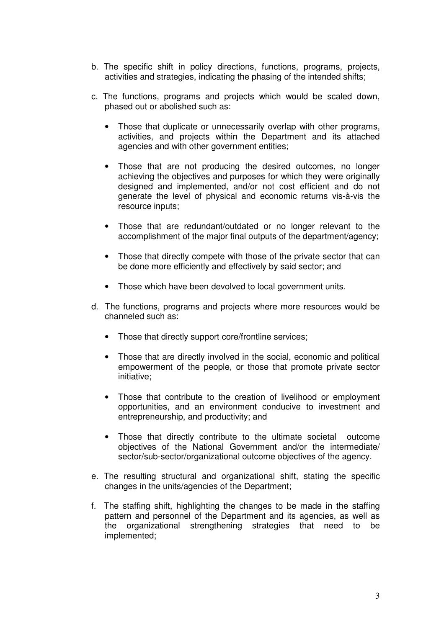- b. The specific shift in policy directions, functions, programs, projects, activities and strategies, indicating the phasing of the intended shifts;
- c. The functions, programs and projects which would be scaled down, phased out or abolished such as:
	- Those that duplicate or unnecessarily overlap with other programs, activities, and projects within the Department and its attached agencies and with other government entities;
	- Those that are not producing the desired outcomes, no longer achieving the objectives and purposes for which they were originally designed and implemented, and/or not cost efficient and do not generate the level of physical and economic returns vis-à-vis the resource inputs;
	- Those that are redundant/outdated or no longer relevant to the accomplishment of the major final outputs of the department/agency;
	- Those that directly compete with those of the private sector that can be done more efficiently and effectively by said sector; and
	- Those which have been devolved to local government units.
- d. The functions, programs and projects where more resources would be channeled such as:
	- Those that directly support core/frontline services;
	- Those that are directly involved in the social, economic and political empowerment of the people, or those that promote private sector initiative;
	- Those that contribute to the creation of livelihood or employment opportunities, and an environment conducive to investment and entrepreneurship, and productivity; and
	- Those that directly contribute to the ultimate societal outcome objectives of the National Government and/or the intermediate/ sector/sub-sector/organizational outcome objectives of the agency.
- e. The resulting structural and organizational shift, stating the specific changes in the units/agencies of the Department;
- f. The staffing shift, highlighting the changes to be made in the staffing pattern and personnel of the Department and its agencies, as well as the organizational strengthening strategies that need to be implemented;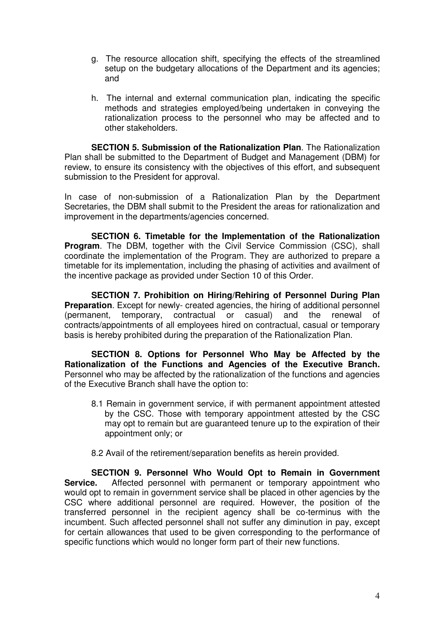- g. The resource allocation shift, specifying the effects of the streamlined setup on the budgetary allocations of the Department and its agencies; and
- h. The internal and external communication plan, indicating the specific methods and strategies employed/being undertaken in conveying the rationalization process to the personnel who may be affected and to other stakeholders.

 **SECTION 5. Submission of the Rationalization Plan**. The Rationalization Plan shall be submitted to the Department of Budget and Management (DBM) for review, to ensure its consistency with the objectives of this effort, and subsequent submission to the President for approval.

In case of non-submission of a Rationalization Plan by the Department Secretaries, the DBM shall submit to the President the areas for rationalization and improvement in the departments/agencies concerned.

 **SECTION 6. Timetable for the Implementation of the Rationalization Program.** The DBM, together with the Civil Service Commission (CSC), shall coordinate the implementation of the Program. They are authorized to prepare a timetable for its implementation, including the phasing of activities and availment of the incentive package as provided under Section 10 of this Order.

 **SECTION 7. Prohibition on Hiring/Rehiring of Personnel During Plan Preparation**. Except for newly- created agencies, the hiring of additional personnel (permanent, temporary, contractual or casual) and the renewal of contracts/appointments of all employees hired on contractual, casual or temporary basis is hereby prohibited during the preparation of the Rationalization Plan.

 **SECTION 8. Options for Personnel Who May be Affected by the Rationalization of the Functions and Agencies of the Executive Branch.** Personnel who may be affected by the rationalization of the functions and agencies of the Executive Branch shall have the option to:

- 8.1 Remain in government service, if with permanent appointment attested by the CSC. Those with temporary appointment attested by the CSC may opt to remain but are guaranteed tenure up to the expiration of their appointment only; or
- 8.2 Avail of the retirement/separation benefits as herein provided.

 **SECTION 9. Personnel Who Would Opt to Remain in Government Service.** Affected personnel with permanent or temporary appointment who would opt to remain in government service shall be placed in other agencies by the CSC where additional personnel are required. However, the position of the transferred personnel in the recipient agency shall be co-terminus with the incumbent. Such affected personnel shall not suffer any diminution in pay, except for certain allowances that used to be given corresponding to the performance of specific functions which would no longer form part of their new functions.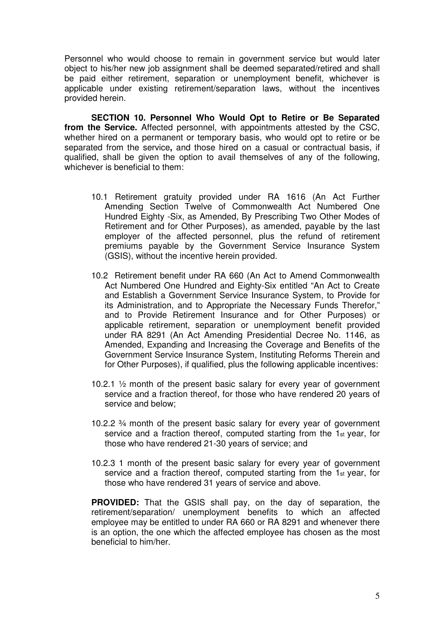Personnel who would choose to remain in government service but would later object to his/her new job assignment shall be deemed separated/retired and shall be paid either retirement, separation or unemployment benefit, whichever is applicable under existing retirement/separation laws, without the incentives provided herein.

 **SECTION 10. Personnel Who Would Opt to Retire or Be Separated from the Service.** Affected personnel, with appointments attested by the CSC, whether hired on a permanent or temporary basis, who would opt to retire or be separated from the service**,** and those hired on a casual or contractual basis, if qualified, shall be given the option to avail themselves of any of the following, whichever is beneficial to them:

- 10.1 Retirement gratuity provided under RA 1616 (An Act Further Amending Section Twelve of Commonwealth Act Numbered One Hundred Eighty -Six, as Amended, By Prescribing Two Other Modes of Retirement and for Other Purposes), as amended, payable by the last employer of the affected personnel, plus the refund of retirement premiums payable by the Government Service Insurance System (GSIS), without the incentive herein provided.
- 10.2 Retirement benefit under RA 660 (An Act to Amend Commonwealth Act Numbered One Hundred and Eighty-Six entitled "An Act to Create and Establish a Government Service Insurance System, to Provide for its Administration, and to Appropriate the Necessary Funds Therefor," and to Provide Retirement Insurance and for Other Purposes) or applicable retirement, separation or unemployment benefit provided under RA 8291 (An Act Amending Presidential Decree No. 1146, as Amended, Expanding and Increasing the Coverage and Benefits of the Government Service Insurance System, Instituting Reforms Therein and for Other Purposes), if qualified, plus the following applicable incentives:
- 10.2.1 ½ month of the present basic salary for every year of government service and a fraction thereof, for those who have rendered 20 years of service and below;
- 10.2.2 ¾ month of the present basic salary for every year of government service and a fraction thereof, computed starting from the 1st year, for those who have rendered 21-30 years of service; and
- 10.2.3 1 month of the present basic salary for every year of government service and a fraction thereof, computed starting from the 1st year, for those who have rendered 31 years of service and above.

**PROVIDED:** That the GSIS shall pay, on the day of separation, the retirement/separation/ unemployment benefits to which an affected employee may be entitled to under RA 660 or RA 8291 and whenever there is an option, the one which the affected employee has chosen as the most beneficial to him/her.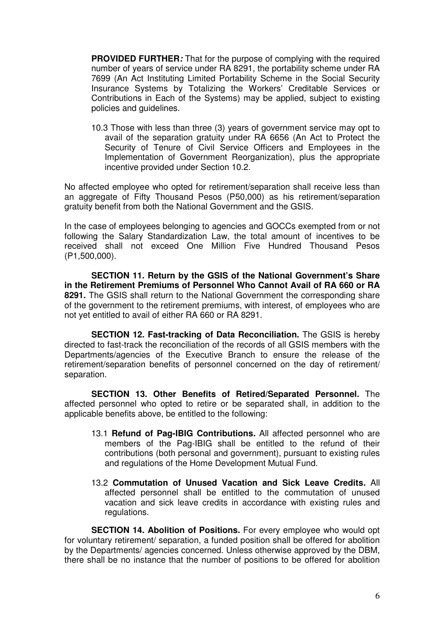**PROVIDED FURTHER***:* That for the purpose of complying with the required number of years of service under RA 8291, the portability scheme under RA 7699 (An Act Instituting Limited Portability Scheme in the Social Security Insurance Systems by Totalizing the Workers' Creditable Services or Contributions in Each of the Systems) may be applied, subject to existing policies and guidelines.

10.3 Those with less than three (3) years of government service may opt to avail of the separation gratuity under RA 6656 (An Act to Protect the Security of Tenure of Civil Service Officers and Employees in the Implementation of Government Reorganization), plus the appropriate incentive provided under Section 10.2.

No affected employee who opted for retirement/separation shall receive less than an aggregate of Fifty Thousand Pesos (P50,000) as his retirement/separation gratuity benefit from both the National Government and the GSIS.

In the case of employees belonging to agencies and GOCCs exempted from or not following the Salary Standardization Law, the total amount of incentives to be received shall not exceed One Million Five Hundred Thousand Pesos (P1,500,000).

 **SECTION 11. Return by the GSIS of the National Government's Share in the Retirement Premiums of Personnel Who Cannot Avail of RA 660 or RA 8291.** The GSIS shall return to the National Government the corresponding share of the government to the retirement premiums, with interest, of employees who are not yet entitled to avail of either RA 660 or RA 8291.

 **SECTION 12. Fast-tracking of Data Reconciliation.** The GSIS is hereby directed to fast-track the reconciliation of the records of all GSIS members with the Departments/agencies of the Executive Branch to ensure the release of the retirement/separation benefits of personnel concerned on the day of retirement/ separation.

 **SECTION 13. Other Benefits of Retired/Separated Personnel***.* The affected personnel who opted to retire or be separated shall, in addition to the applicable benefits above, be entitled to the following:

- 13.1 **Refund of Pag-IBIG Contributions***.* All affected personnel who are members of the Pag-IBIG shall be entitled to the refund of their contributions (both personal and government), pursuant to existing rules and regulations of the Home Development Mutual Fund.
- 13.2 **Commutation of Unused Vacation and Sick Leave Credits***.* All affected personnel shall be entitled to the commutation of unused vacation and sick leave credits in accordance with existing rules and regulations.

 **SECTION 14. Abolition of Positions.** For every employee who would opt for voluntary retirement/ separation, a funded position shall be offered for abolition by the Departments/ agencies concerned. Unless otherwise approved by the DBM, there shall be no instance that the number of positions to be offered for abolition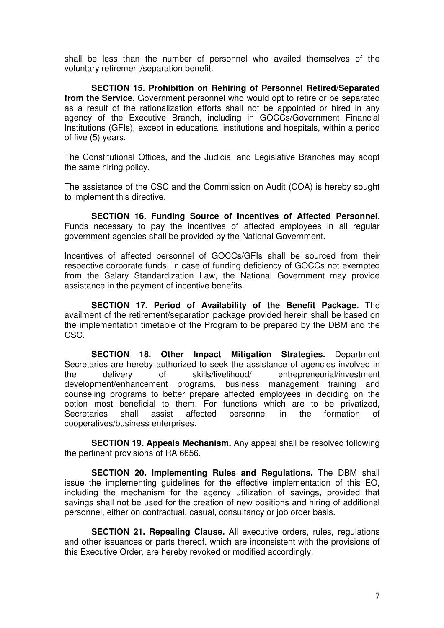shall be less than the number of personnel who availed themselves of the voluntary retirement/separation benefit.

 **SECTION 15. Prohibition on Rehiring of Personnel Retired/Separated from the Service**. Government personnel who would opt to retire or be separated as a result of the rationalization efforts shall not be appointed or hired in any agency of the Executive Branch, including in GOCCs/Government Financial Institutions (GFIs), except in educational institutions and hospitals, within a period of five (5) years.

The Constitutional Offices, and the Judicial and Legislative Branches may adopt the same hiring policy.

The assistance of the CSC and the Commission on Audit (COA) is hereby sought to implement this directive.

 **SECTION 16. Funding Source of Incentives of Affected Personnel***.*  Funds necessary to pay the incentives of affected employees in all regular government agencies shall be provided by the National Government.

Incentives of affected personnel of GOCCs/GFIs shall be sourced from their respective corporate funds. In case of funding deficiency of GOCCs not exempted from the Salary Standardization Law, the National Government may provide assistance in the payment of incentive benefits.

 **SECTION 17. Period of Availability of the Benefit Package***.* The availment of the retirement/separation package provided herein shall be based on the implementation timetable of the Program to be prepared by the DBM and the CSC.

 **SECTION 18. Other Impact Mitigation Strategies***.* Department Secretaries are hereby authorized to seek the assistance of agencies involved in the delivery of skills/livelihood/ entrepreneurial/investment development/enhancement programs, business management training and counseling programs to better prepare affected employees in deciding on the option most beneficial to them. For functions which are to be privatized, Secretaries shall assist affected personnel in the formation of cooperatives/business enterprises.

 **SECTION 19. Appeals Mechanism.** Any appeal shall be resolved following the pertinent provisions of RA 6656.

 **SECTION 20. Implementing Rules and Regulations.** The DBM shall issue the implementing guidelines for the effective implementation of this EO, including the mechanism for the agency utilization of savings, provided that savings shall not be used for the creation of new positions and hiring of additional personnel, either on contractual, casual, consultancy or job order basis.

 **SECTION 21. Repealing Clause.** All executive orders, rules, regulations and other issuances or parts thereof, which are inconsistent with the provisions of this Executive Order, are hereby revoked or modified accordingly.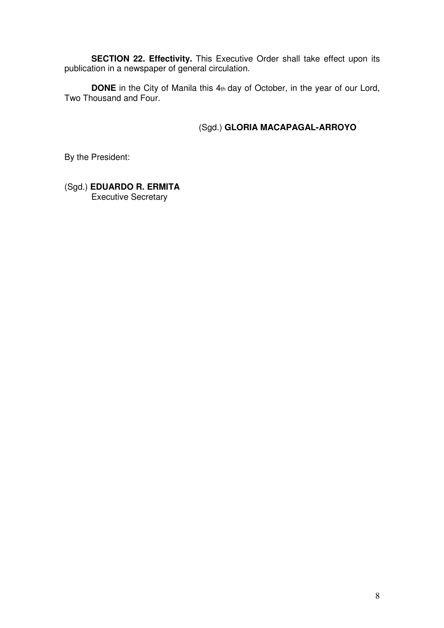**SECTION 22. Effectivity***.* This Executive Order shall take effect upon its publication in a newspaper of general circulation.

**DONE** in the City of Manila this 4th day of October, in the year of our Lord, Two Thousand and Four.

# (Sgd.) **GLORIA MACAPAGAL-ARROYO**

By the President:

(Sgd.) **EDUARDO R. ERMITA**  Executive Secretary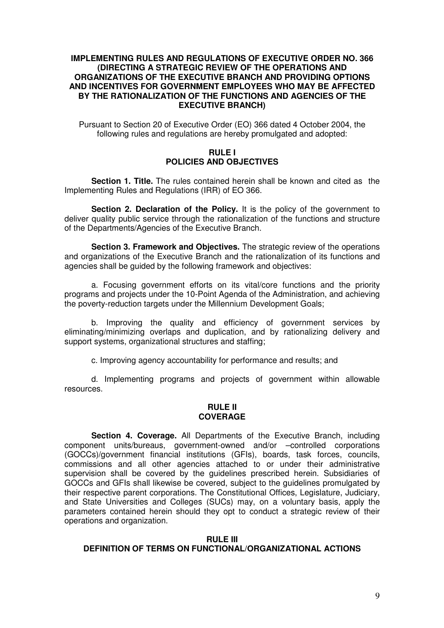## **IMPLEMENTING RULES AND REGULATIONS OF EXECUTIVE ORDER NO. 366 (DIRECTING A STRATEGIC REVIEW OF THE OPERATIONS AND ORGANIZATIONS OF THE EXECUTIVE BRANCH AND PROVIDING OPTIONS AND INCENTIVES FOR GOVERNMENT EMPLOYEES WHO MAY BE AFFECTED BY THE RATIONALIZATION OF THE FUNCTIONS AND AGENCIES OF THE EXECUTIVE BRANCH)**

Pursuant to Section 20 of Executive Order (EO) 366 dated 4 October 2004, the following rules and regulations are hereby promulgated and adopted:

## **RULE I POLICIES AND OBJECTIVES**

 **Section 1. Title.** The rules contained herein shall be known and cited as the Implementing Rules and Regulations (IRR) of EO 366.

 **Section 2. Declaration of the Policy.** It is the policy of the government to deliver quality public service through the rationalization of the functions and structure of the Departments/Agencies of the Executive Branch.

 **Section 3. Framework and Objectives.** The strategic review of the operations and organizations of the Executive Branch and the rationalization of its functions and agencies shall be guided by the following framework and objectives:

 a. Focusing government efforts on its vital/core functions and the priority programs and projects under the 10-Point Agenda of the Administration, and achieving the poverty-reduction targets under the Millennium Development Goals;

 b. Improving the quality and efficiency of government services by eliminating/minimizing overlaps and duplication, and by rationalizing delivery and support systems, organizational structures and staffing;

c. Improving agency accountability for performance and results; and

 d. Implementing programs and projects of government within allowable resources.

#### **RULE II COVERAGE**

 **Section 4. Coverage.** All Departments of the Executive Branch, including component units/bureaus, government-owned and/or –controlled corporations (GOCCs)/government financial institutions (GFIs), boards, task forces, councils, commissions and all other agencies attached to or under their administrative supervision shall be covered by the guidelines prescribed herein. Subsidiaries of GOCCs and GFIs shall likewise be covered, subject to the guidelines promulgated by their respective parent corporations. The Constitutional Offices, Legislature, Judiciary, and State Universities and Colleges (SUCs) may, on a voluntary basis, apply the parameters contained herein should they opt to conduct a strategic review of their operations and organization.

#### **RULE III DEFINITION OF TERMS ON FUNCTIONAL/ORGANIZATIONAL ACTIONS**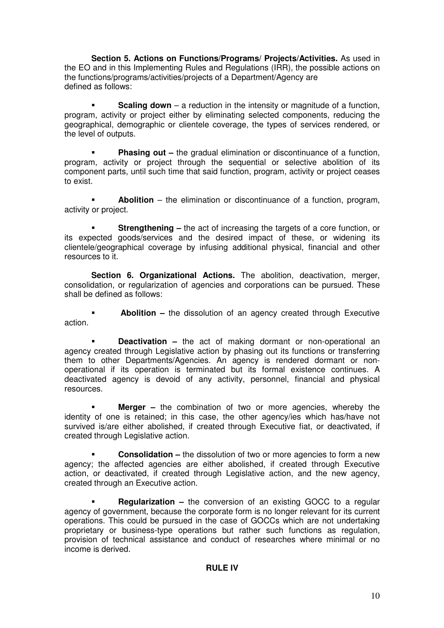**Section 5. Actions on Functions/Programs/ Projects/Activities.** As used in the EO and in this Implementing Rules and Regulations (IRR), the possible actions on the functions/programs/activities/projects of a Department/Agency are defined as follows:

**Scaling down** – a reduction in the intensity or magnitude of a function, program, activity or project either by eliminating selected components, reducing the geographical, demographic or clientele coverage, the types of services rendered, or the level of outputs.

**Phasing out –** the gradual elimination or discontinuance of a function, program, activity or project through the sequential or selective abolition of its component parts, until such time that said function, program, activity or project ceases to exist.

 **Abolition** – the elimination or discontinuance of a function, program, activity or project.

**Strengthening –** the act of increasing the targets of a core function, or its expected goods/services and the desired impact of these, or widening its clientele/geographical coverage by infusing additional physical, financial and other resources to it.

**Section 6. Organizational Actions.** The abolition, deactivation, merger, consolidation, or regularization of agencies and corporations can be pursued. These shall be defined as follows:

 **Abolition –** the dissolution of an agency created through Executive action.

 **Deactivation –** the act of making dormant or non-operational an agency created through Legislative action by phasing out its functions or transferring them to other Departments/Agencies. An agency is rendered dormant or nonoperational if its operation is terminated but its formal existence continues. A deactivated agency is devoid of any activity, personnel, financial and physical resources.

 **Merger –** the combination of two or more agencies, whereby the identity of one is retained; in this case, the other agency/ies which has/have not survived is/are either abolished, if created through Executive fiat, or deactivated, if created through Legislative action.

 **Consolidation –** the dissolution of two or more agencies to form a new agency; the affected agencies are either abolished, if created through Executive action, or deactivated, if created through Legislative action, and the new agency, created through an Executive action.

**Regularization –** the conversion of an existing GOCC to a regular agency of government, because the corporate form is no longer relevant for its current operations. This could be pursued in the case of GOCCs which are not undertaking proprietary or business-type operations but rather such functions as regulation, provision of technical assistance and conduct of researches where minimal or no income is derived.

# **RULE IV**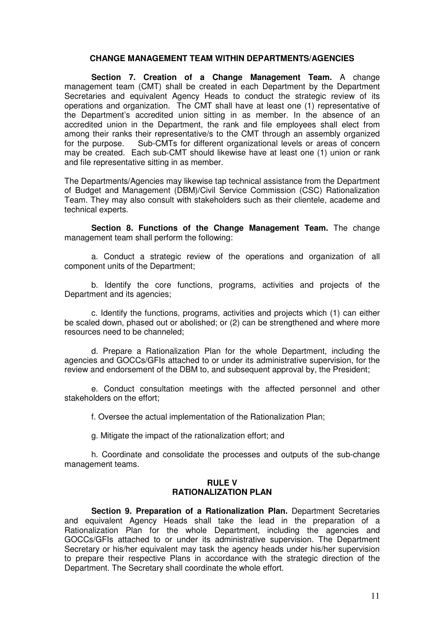#### **CHANGE MANAGEMENT TEAM WITHIN DEPARTMENTS/AGENCIES**

 **Section 7. Creation of a Change Management Team.** A change management team (CMT) shall be created in each Department by the Department Secretaries and equivalent Agency Heads to conduct the strategic review of its operations and organization. The CMT shall have at least one (1) representative of the Department's accredited union sitting in as member. In the absence of an accredited union in the Department, the rank and file employees shall elect from among their ranks their representative/s to the CMT through an assembly organized for the purpose. Sub-CMTs for different organizational levels or areas of concern may be created. Each sub-CMT should likewise have at least one (1) union or rank and file representative sitting in as member.

The Departments/Agencies may likewise tap technical assistance from the Department of Budget and Management (DBM)/Civil Service Commission (CSC) Rationalization Team. They may also consult with stakeholders such as their clientele, academe and technical experts.

 **Section 8. Functions of the Change Management Team.** The change management team shall perform the following:

 a. Conduct a strategic review of the operations and organization of all component units of the Department;

 b. Identify the core functions, programs, activities and projects of the Department and its agencies;

 c. Identify the functions, programs, activities and projects which (1) can either be scaled down, phased out or abolished; or (2) can be strengthened and where more resources need to be channeled;

 d. Prepare a Rationalization Plan for the whole Department, including the agencies and GOCCs/GFIs attached to or under its administrative supervision, for the review and endorsement of the DBM to, and subsequent approval by, the President;

 e. Conduct consultation meetings with the affected personnel and other stakeholders on the effort;

f. Oversee the actual implementation of the Rationalization Plan;

g. Mitigate the impact of the rationalization effort; and

 h. Coordinate and consolidate the processes and outputs of the sub-change management teams.

#### **RULE V RATIONALIZATION PLAN**

 **Section 9. Preparation of a Rationalization Plan.** Department Secretaries and equivalent Agency Heads shall take the lead in the preparation of a Rationalization Plan for the whole Department, including the agencies and GOCCs/GFIs attached to or under its administrative supervision. The Department Secretary or his/her equivalent may task the agency heads under his/her supervision to prepare their respective Plans in accordance with the strategic direction of the Department. The Secretary shall coordinate the whole effort.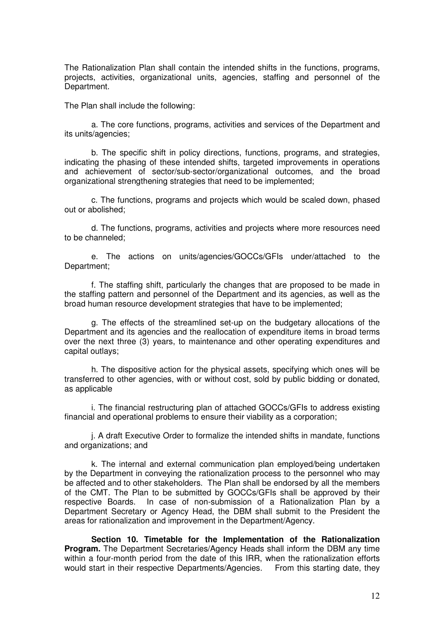The Rationalization Plan shall contain the intended shifts in the functions, programs, projects, activities, organizational units, agencies, staffing and personnel of the Department.

The Plan shall include the following:

 a. The core functions, programs, activities and services of the Department and its units/agencies;

 b. The specific shift in policy directions, functions, programs, and strategies, indicating the phasing of these intended shifts, targeted improvements in operations and achievement of sector/sub-sector/organizational outcomes, and the broad organizational strengthening strategies that need to be implemented;

 c. The functions, programs and projects which would be scaled down, phased out or abolished;

 d. The functions, programs, activities and projects where more resources need to be channeled;

 e. The actions on units/agencies/GOCCs/GFIs under/attached to the Department;

 f. The staffing shift, particularly the changes that are proposed to be made in the staffing pattern and personnel of the Department and its agencies, as well as the broad human resource development strategies that have to be implemented;

 g. The effects of the streamlined set-up on the budgetary allocations of the Department and its agencies and the reallocation of expenditure items in broad terms over the next three (3) years, to maintenance and other operating expenditures and capital outlays;

 h. The dispositive action for the physical assets, specifying which ones will be transferred to other agencies, with or without cost, sold by public bidding or donated, as applicable

 i. The financial restructuring plan of attached GOCCs/GFIs to address existing financial and operational problems to ensure their viability as a corporation;

 j. A draft Executive Order to formalize the intended shifts in mandate, functions and organizations; and

 k. The internal and external communication plan employed/being undertaken by the Department in conveying the rationalization process to the personnel who may be affected and to other stakeholders. The Plan shall be endorsed by all the members of the CMT. The Plan to be submitted by GOCCs/GFIs shall be approved by their respective Boards. In case of non-submission of a Rationalization Plan by a Department Secretary or Agency Head, the DBM shall submit to the President the areas for rationalization and improvement in the Department/Agency.

 **Section 10. Timetable for the Implementation of the Rationalization Program.** The Department Secretaries/Agency Heads shall inform the DBM any time within a four-month period from the date of this IRR, when the rationalization efforts would start in their respective Departments/Agencies. From this starting date, they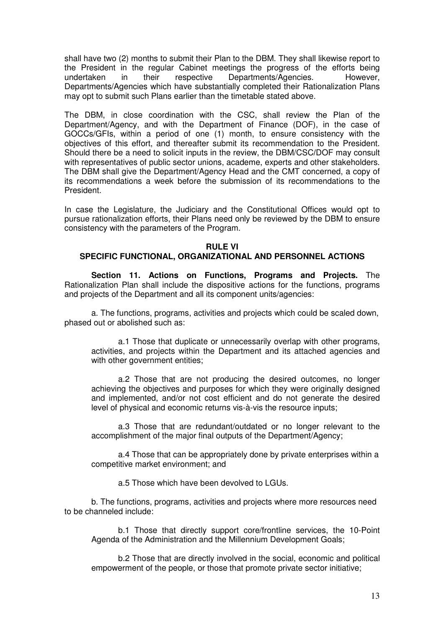shall have two (2) months to submit their Plan to the DBM. They shall likewise report to the President in the regular Cabinet meetings the progress of the efforts being undertaken in their respective Departments/Agencies. However, Departments/Agencies which have substantially completed their Rationalization Plans may opt to submit such Plans earlier than the timetable stated above.

The DBM, in close coordination with the CSC, shall review the Plan of the Department/Agency, and with the Department of Finance (DOF), in the case of GOCCs/GFIs, within a period of one (1) month, to ensure consistency with the objectives of this effort, and thereafter submit its recommendation to the President. Should there be a need to solicit inputs in the review, the DBM/CSC**/**DOF may consult with representatives of public sector unions, academe, experts and other stakeholders. The DBM shall give the Department/Agency Head and the CMT concerned, a copy of its recommendations a week before the submission of its recommendations to the President.

In case the Legislature, the Judiciary and the Constitutional Offices would opt to pursue rationalization efforts, their Plans need only be reviewed by the DBM to ensure consistency with the parameters of the Program.

## **RULE VI**

## **SPECIFIC FUNCTIONAL, ORGANIZATIONAL AND PERSONNEL ACTIONS**

 **Section 11. Actions on Functions, Programs and Projects.** The Rationalization Plan shall include the dispositive actions for the functions, programs and projects of the Department and all its component units/agencies:

 a. The functions, programs, activities and projects which could be scaled down, phased out or abolished such as:

a.1 Those that duplicate or unnecessarily overlap with other programs, activities, and projects within the Department and its attached agencies and with other government entities:

 a.2 Those that are not producing the desired outcomes, no longer achieving the objectives and purposes for which they were originally designed and implemented, and/or not cost efficient and do not generate the desired level of physical and economic returns vis-à-vis the resource inputs;

 a.3 Those that are redundant/outdated or no longer relevant to the accomplishment of the major final outputs of the Department/Agency;

a.4 Those that can be appropriately done by private enterprises within a competitive market environment; and

a.5 Those which have been devolved to LGUs.

 b. The functions, programs, activities and projects where more resources need to be channeled include:

b.1 Those that directly support core/frontline services, the 10-Point Agenda of the Administration and the Millennium Development Goals;

b.2 Those that are directly involved in the social, economic and political empowerment of the people, or those that promote private sector initiative;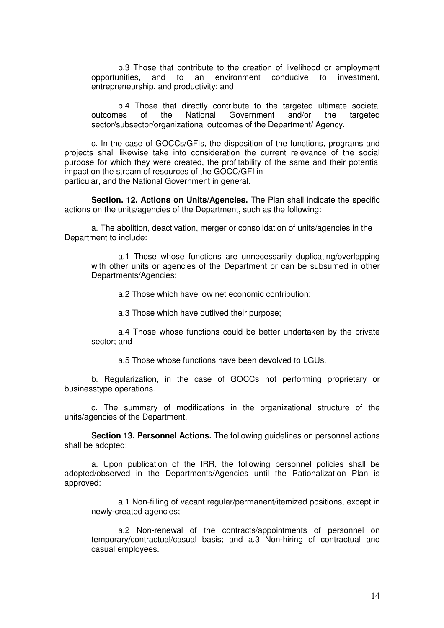b.3 Those that contribute to the creation of livelihood or employment opportunities, and to an environment conducive to investment, entrepreneurship, and productivity; and

b.4 Those that directly contribute to the targeted ultimate societal outcomes of the National Government and/or the targeted sector/subsector/organizational outcomes of the Department/ Agency.

 c. In the case of GOCCs/GFIs, the disposition of the functions, programs and projects shall likewise take into consideration the current relevance of the social purpose for which they were created, the profitability of the same and their potential impact on the stream of resources of the GOCC/GFI in particular, and the National Government in general.

 **Section. 12. Actions on Units/Agencies.** The Plan shall indicate the specific actions on the units/agencies of the Department, such as the following:

 a. The abolition, deactivation, merger or consolidation of units/agencies in the Department to include:

a.1 Those whose functions are unnecessarily duplicating/overlapping with other units or agencies of the Department or can be subsumed in other Departments/Agencies;

a.2 Those which have low net economic contribution;

a.3 Those which have outlived their purpose;

a.4 Those whose functions could be better undertaken by the private sector; and

a.5 Those whose functions have been devolved to LGUs.

 b. Regularization, in the case of GOCCs not performing proprietary or businesstype operations.

 c. The summary of modifications in the organizational structure of the units/agencies of the Department.

 **Section 13. Personnel Actions.** The following guidelines on personnel actions shall be adopted:

 a. Upon publication of the IRR, the following personnel policies shall be adopted/observed in the Departments/Agencies until the Rationalization Plan is approved:

a.1 Non-filling of vacant regular/permanent/itemized positions, except in newly-created agencies;

a.2 Non-renewal of the contracts/appointments of personnel on temporary/contractual/casual basis; and a.3 Non-hiring of contractual and casual employees.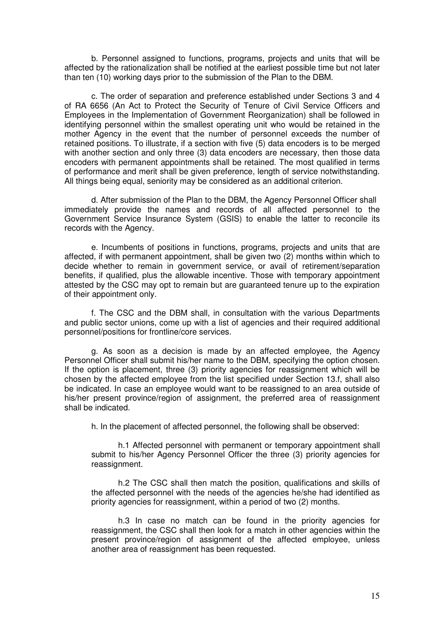b. Personnel assigned to functions, programs, projects and units that will be affected by the rationalization shall be notified at the earliest possible time but not later than ten (10) working days prior to the submission of the Plan to the DBM.

 c. The order of separation and preference established under Sections 3 and 4 of RA 6656 (An Act to Protect the Security of Tenure of Civil Service Officers and Employees in the Implementation of Government Reorganization) shall be followed in identifying personnel within the smallest operating unit who would be retained in the mother Agency in the event that the number of personnel exceeds the number of retained positions. To illustrate, if a section with five (5) data encoders is to be merged with another section and only three (3) data encoders are necessary, then those data encoders with permanent appointments shall be retained. The most qualified in terms of performance and merit shall be given preference, length of service notwithstanding. All things being equal, seniority may be considered as an additional criterion.

 d. After submission of the Plan to the DBM, the Agency Personnel Officer shall immediately provide the names and records of all affected personnel to the Government Service Insurance System (GSIS) to enable the latter to reconcile its records with the Agency.

 e. Incumbents of positions in functions, programs, projects and units that are affected, if with permanent appointment, shall be given two (2) months within which to decide whether to remain in government service, or avail of retirement/separation benefits, if qualified, plus the allowable incentive. Those with temporary appointment attested by the CSC may opt to remain but are guaranteed tenure up to the expiration of their appointment only.

 f. The CSC and the DBM shall, in consultation with the various Departments and public sector unions, come up with a list of agencies and their required additional personnel/positions for frontline/core services.

 g. As soon as a decision is made by an affected employee, the Agency Personnel Officer shall submit his/her name to the DBM, specifying the option chosen. If the option is placement, three (3) priority agencies for reassignment which will be chosen by the affected employee from the list specified under Section 13.f, shall also be indicated. In case an employee would want to be reassigned to an area outside of his/her present province/region of assignment, the preferred area of reassignment shall be indicated.

h. In the placement of affected personnel, the following shall be observed:

h.1 Affected personnel with permanent or temporary appointment shall submit to his/her Agency Personnel Officer the three (3) priority agencies for reassignment.

h.2 The CSC shall then match the position, qualifications and skills of the affected personnel with the needs of the agencies he/she had identified as priority agencies for reassignment, within a period of two (2) months.

h.3 In case no match can be found in the priority agencies for reassignment, the CSC shall then look for a match in other agencies within the present province/region of assignment of the affected employee, unless another area of reassignment has been requested.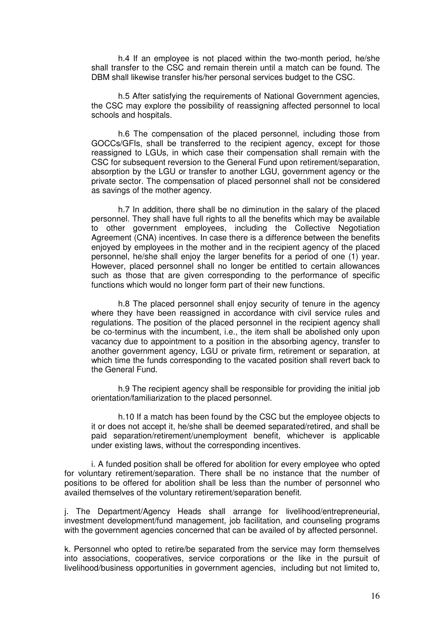h.4 If an employee is not placed within the two-month period, he/she shall transfer to the CSC and remain therein until a match can be found. The DBM shall likewise transfer his/her personal services budget to the CSC.

h.5 After satisfying the requirements of National Government agencies. the CSC may explore the possibility of reassigning affected personnel to local schools and hospitals.

h.6 The compensation of the placed personnel, including those from GOCCs/GFIs, shall be transferred to the recipient agency, except for those reassigned to LGUs, in which case their compensation shall remain with the CSC for subsequent reversion to the General Fund upon retirement/separation, absorption by the LGU or transfer to another LGU, government agency or the private sector. The compensation of placed personnel shall not be considered as savings of the mother agency.

h.7 In addition, there shall be no diminution in the salary of the placed personnel. They shall have full rights to all the benefits which may be available to other government employees, including the Collective Negotiation Agreement (CNA) incentives. In case there is a difference between the benefits enjoyed by employees in the mother and in the recipient agency of the placed personnel, he/she shall enjoy the larger benefits for a period of one (1) year. However, placed personnel shall no longer be entitled to certain allowances such as those that are given corresponding to the performance of specific functions which would no longer form part of their new functions.

h.8 The placed personnel shall enjoy security of tenure in the agency where they have been reassigned in accordance with civil service rules and regulations. The position of the placed personnel in the recipient agency shall be co-terminus with the incumbent, i.e., the item shall be abolished only upon vacancy due to appointment to a position in the absorbing agency, transfer to another government agency, LGU or private firm, retirement or separation, at which time the funds corresponding to the vacated position shall revert back to the General Fund.

h.9 The recipient agency shall be responsible for providing the initial job orientation/familiarization to the placed personnel.

h.10 If a match has been found by the CSC but the employee objects to it or does not accept it, he/she shall be deemed separated/retired, and shall be paid separation/retirement/unemployment benefit, whichever is applicable under existing laws, without the corresponding incentives.

 i. A funded position shall be offered for abolition for every employee who opted for voluntary retirement/separation. There shall be no instance that the number of positions to be offered for abolition shall be less than the number of personnel who availed themselves of the voluntary retirement/separation benefit.

j. The Department/Agency Heads shall arrange for livelihood/entrepreneurial, investment development/fund management, job facilitation, and counseling programs with the government agencies concerned that can be availed of by affected personnel.

k. Personnel who opted to retire/be separated from the service may form themselves into associations, cooperatives, service corporations or the like in the pursuit of livelihood/business opportunities in government agencies, including but not limited to,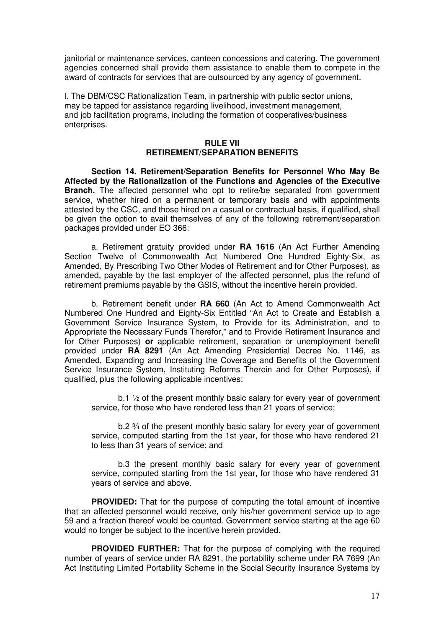janitorial or maintenance services, canteen concessions and catering. The government agencies concerned shall provide them assistance to enable them to compete in the award of contracts for services that are outsourced by any agency of government.

l. The DBM/CSC Rationalization Team, in partnership with public sector unions, may be tapped for assistance regarding livelihood, investment management, and job facilitation programs, including the formation of cooperatives/business enterprises.

## **RULE VII RETIREMENT/SEPARATION BENEFITS**

 **Section 14. Retirement/Separation Benefits for Personnel Who May Be Affected by the Rationalization of the Functions and Agencies of the Executive Branch.** The affected personnel who opt to retire/be separated from government service, whether hired on a permanent or temporary basis and with appointments attested by the CSC, and those hired on a casual or contractual basis, if qualified, shall be given the option to avail themselves of any of the following retirement/separation packages provided under EO 366:

 a. Retirement gratuity provided under **RA 1616** (An Act Further Amending Section Twelve of Commonwealth Act Numbered One Hundred Eighty-Six, as Amended, By Prescribing Two Other Modes of Retirement and for Other Purposes), as amended, payable by the last employer of the affected personnel, plus the refund of retirement premiums payable by the GSIS, without the incentive herein provided.

 b. Retirement benefit under **RA 660** (An Act to Amend Commonwealth Act Numbered One Hundred and Eighty-Six Entitled "An Act to Create and Establish a Government Service Insurance System, to Provide for its Administration, and to Appropriate the Necessary Funds Therefor," and to Provide Retirement Insurance and for Other Purposes) **or** applicable retirement, separation or unemployment benefit provided under **RA 8291** (An Act Amending Presidential Decree No. 1146, as Amended, Expanding and Increasing the Coverage and Benefits of the Government Service Insurance System, Instituting Reforms Therein and for Other Purposes), if qualified, plus the following applicable incentives:

b.1  $\frac{1}{2}$  of the present monthly basic salary for every year of government service, for those who have rendered less than 21 years of service;

 b.2 ¾ of the present monthly basic salary for every year of government service, computed starting from the 1st year, for those who have rendered 21 to less than 31 years of service; and

b.3 the present monthly basic salary for every year of government service, computed starting from the 1st year, for those who have rendered 31 years of service and above.

**PROVIDED:** That for the purpose of computing the total amount of incentive that an affected personnel would receive, only his/her government service up to age 59 and a fraction thereof would be counted. Government service starting at the age 60 would no longer be subject to the incentive herein provided.

**PROVIDED FURTHER:** That for the purpose of complying with the required number of years of service under RA 8291, the portability scheme under RA 7699 (An Act Instituting Limited Portability Scheme in the Social Security Insurance Systems by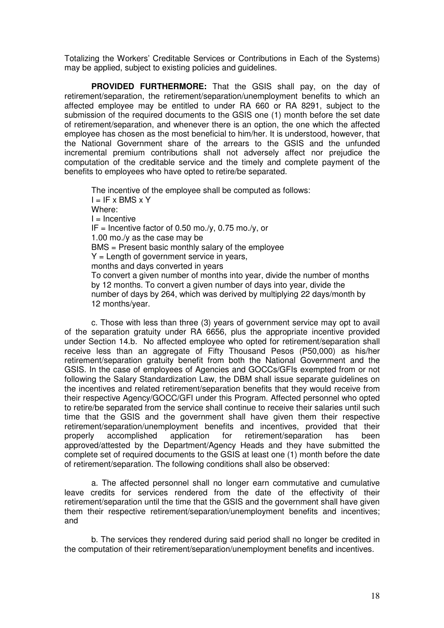Totalizing the Workers' Creditable Services or Contributions in Each of the Systems) may be applied, subject to existing policies and guidelines.

 **PROVIDED FURTHERMORE:** That the GSIS shall pay, on the day of retirement/separation, the retirement/separation/unemployment benefits to which an affected employee may be entitled to under RA 660 or RA 8291, subject to the submission of the required documents to the GSIS one (1) month before the set date of retirement/separation, and whenever there is an option, the one which the affected employee has chosen as the most beneficial to him/her. It is understood, however, that the National Government share of the arrears to the GSIS and the unfunded incremental premium contributions shall not adversely affect nor prejudice the computation of the creditable service and the timely and complete payment of the benefits to employees who have opted to retire/be separated.

The incentive of the employee shall be computed as follows:  $I = IF \times BMS \times Y$ Where:  $I = Incentive$ IF = Incentive factor of 0.50 mo./y, 0.75 mo./y, or 1.00 mo./y as the case may be BMS = Present basic monthly salary of the employee  $Y =$  Length of government service in years, months and days converted in years To convert a given number of months into year, divide the number of months by 12 months. To convert a given number of days into year, divide the number of days by 264, which was derived by multiplying 22 days/month by 12 months/year.

 c. Those with less than three (3) years of government service may opt to avail of the separation gratuity under RA 6656, plus the appropriate incentive provided under Section 14.b. No affected employee who opted for retirement/separation shall receive less than an aggregate of Fifty Thousand Pesos (P50,000) as his/her retirement/separation gratuity benefit from both the National Government and the GSIS. In the case of employees of Agencies and GOCCs/GFIs exempted from or not following the Salary Standardization Law, the DBM shall issue separate guidelines on the incentives and related retirement/separation benefits that they would receive from their respective Agency/GOCC/GFI under this Program. Affected personnel who opted to retire/be separated from the service shall continue to receive their salaries until such time that the GSIS and the government shall have given them their respective retirement/separation/unemployment benefits and incentives, provided that their properly accomplished application for retirement/separation has been approved/attested by the Department/Agency Heads and they have submitted the complete set of required documents to the GSIS at least one (1) month before the date of retirement/separation. The following conditions shall also be observed:

 a. The affected personnel shall no longer earn commutative and cumulative leave credits for services rendered from the date of the effectivity of their retirement/separation until the time that the GSIS and the government shall have given them their respective retirement/separation/unemployment benefits and incentives; and

 b. The services they rendered during said period shall no longer be credited in the computation of their retirement/separation/unemployment benefits and incentives.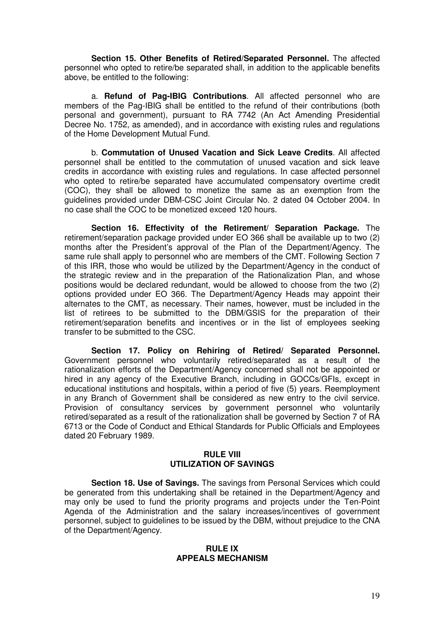**Section 15. Other Benefits of Retired/Separated Personnel.** The affected personnel who opted to retire/be separated shall, in addition to the applicable benefits above, be entitled to the following:

 a. **Refund of Pag-IBIG Contributions**. All affected personnel who are members of the Pag-IBIG shall be entitled to the refund of their contributions (both personal and government), pursuant to RA 7742 (An Act Amending Presidential Decree No. 1752, as amended), and in accordance with existing rules and regulations of the Home Development Mutual Fund.

 b. **Commutation of Unused Vacation and Sick Leave Credits**. All affected personnel shall be entitled to the commutation of unused vacation and sick leave credits in accordance with existing rules and regulations. In case affected personnel who opted to retire/be separated have accumulated compensatory overtime credit (COC), they shall be allowed to monetize the same as an exemption from the guidelines provided under DBM-CSC Joint Circular No. 2 dated 04 October 2004. In no case shall the COC to be monetized exceed 120 hours.

 **Section 16. Effectivity of the Retirement/ Separation Package.** The retirement/separation package provided under EO 366 shall be available up to two (2) months after the President's approval of the Plan of the Department/Agency. The same rule shall apply to personnel who are members of the CMT. Following Section 7 of this IRR, those who would be utilized by the Department/Agency in the conduct of the strategic review and in the preparation of the Rationalization Plan, and whose positions would be declared redundant, would be allowed to choose from the two (2) options provided under EO 366. The Department/Agency Heads may appoint their alternates to the CMT, as necessary. Their names, however, must be included in the list of retirees to be submitted to the DBM/GSIS for the preparation of their retirement/separation benefits and incentives or in the list of employees seeking transfer to be submitted to the CSC.

 **Section 17. Policy on Rehiring of Retired/ Separated Personnel.**  Government personnel who voluntarily retired/separated as a result of the rationalization efforts of the Department/Agency concerned shall not be appointed or hired in any agency of the Executive Branch, including in GOCCs/GFIs, except in educational institutions and hospitals, within a period of five (5) years. Reemployment in any Branch of Government shall be considered as new entry to the civil service. Provision of consultancy services by government personnel who voluntarily retired/separated as a result of the rationalization shall be governed by Section 7 of RA 6713 or the Code of Conduct and Ethical Standards for Public Officials and Employees dated 20 February 1989.

#### **RULE VIII UTILIZATION OF SAVINGS**

 **Section 18. Use of Savings.** The savings from Personal Services which could be generated from this undertaking shall be retained in the Department/Agency and may only be used to fund the priority programs and projects under the Ten-Point Agenda of the Administration and the salary increases/incentives of government personnel, subject to guidelines to be issued by the DBM, without prejudice to the CNA of the Department/Agency.

#### **RULE IX APPEALS MECHANISM**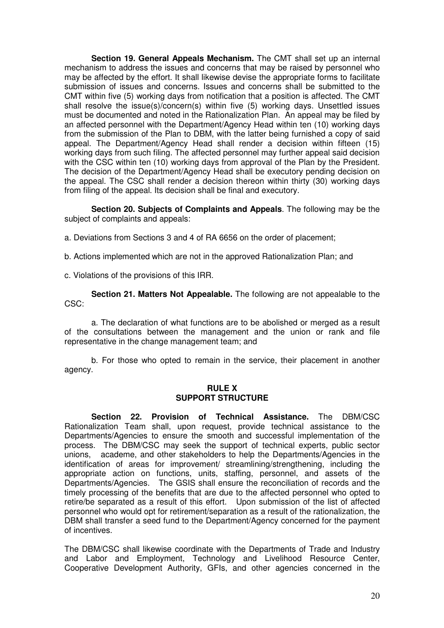**Section 19. General Appeals Mechanism.** The CMT shall set up an internal mechanism to address the issues and concerns that may be raised by personnel who may be affected by the effort. It shall likewise devise the appropriate forms to facilitate submission of issues and concerns. Issues and concerns shall be submitted to the CMT within five (5) working days from notification that a position is affected. The CMT shall resolve the issue(s)/concern(s) within five (5) working days. Unsettled issues must be documented and noted in the Rationalization Plan. An appeal may be filed by an affected personnel with the Department/Agency Head within ten (10) working days from the submission of the Plan to DBM, with the latter being furnished a copy of said appeal. The Department/Agency Head shall render a decision within fifteen (15) working days from such filing. The affected personnel may further appeal said decision with the CSC within ten (10) working days from approval of the Plan by the President. The decision of the Department/Agency Head shall be executory pending decision on the appeal. The CSC shall render a decision thereon within thirty (30) working days from filing of the appeal. Its decision shall be final and executory.

 **Section 20. Subjects of Complaints and Appeals**. The following may be the subject of complaints and appeals:

a. Deviations from Sections 3 and 4 of RA 6656 on the order of placement;

b. Actions implemented which are not in the approved Rationalization Plan; and

c. Violations of the provisions of this IRR.

 **Section 21. Matters Not Appealable.** The following are not appealable to the CSC:

 a. The declaration of what functions are to be abolished or merged as a result of the consultations between the management and the union or rank and file representative in the change management team; and

 b. For those who opted to remain in the service, their placement in another agency.

## **RULE X SUPPORT STRUCTURE**

 **Section 22. Provision of Technical Assistance.** The DBM/CSC Rationalization Team shall, upon request, provide technical assistance to the Departments/Agencies to ensure the smooth and successful implementation of the process. The DBM/CSC may seek the support of technical experts, public sector unions, academe, and other stakeholders to help the Departments/Agencies in the identification of areas for improvement/ streamlining/strengthening, including the appropriate action on functions, units, staffing, personnel, and assets of the Departments/Agencies. The GSIS shall ensure the reconciliation of records and the timely processing of the benefits that are due to the affected personnel who opted to retire/be separated as a result of this effort. Upon submission of the list of affected personnel who would opt for retirement/separation as a result of the rationalization, the DBM shall transfer a seed fund to the Department/Agency concerned for the payment of incentives.

The DBM/CSC shall likewise coordinate with the Departments of Trade and Industry and Labor and Employment, Technology and Livelihood Resource Center, Cooperative Development Authority, GFIs, and other agencies concerned in the